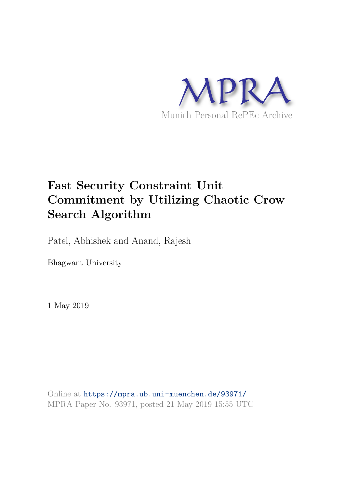

# **Fast Security Constraint Unit Commitment by Utilizing Chaotic Crow Search Algorithm**

Patel, Abhishek and Anand, Rajesh

Bhagwant University

1 May 2019

Online at https://mpra.ub.uni-muenchen.de/93971/ MPRA Paper No. 93971, posted 21 May 2019 15:55 UTC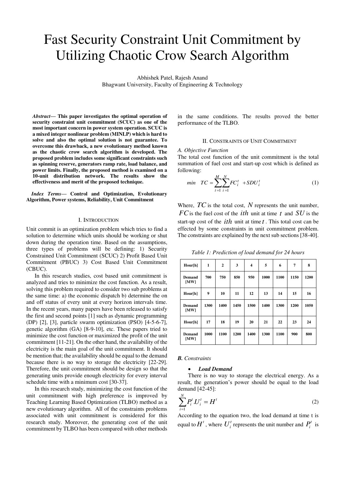# Fast Security Constraint Unit Commitment by Utilizing Chaotic Crow Search Algorithm

Abhishek Patel, Rajesh Anand Bhagwant University, Faculty of Engineering & Technology

*Abstract***— This paper investigates the optimal operation of security constraint unit commitment (SCUC) as one of the most important concern in power system operation. SCUC is a mixed integer nonlinear problem (MINLP) which is hard to solve and also the optimal solution is not guarantee. To overcome this drawback, a new evolutionary method known as the chaotic crow search algorithm is developed. The proposed problem includes some significant constraints such as spinning reserve, generators ramp rate, load balance, and power limits. Finally, the proposed method is examined on a 10-unit distribution network. The results show the effectiveness and merit of the proposed technique.** 

*Index Terms***— Control and Optimization, Evolutionary Algorithm, Power systems, Reliability, Unit Commitment** 

#### I. INTRODUCTION

Unit commit is an optimization problem which tries to find a solution to determine which units should be working or shut down during the operation time. Based on the assumptions, three types of problems will be defining: 1) Security Constrained Unit Commitment (SCUC) 2) Profit Based Unit Commitment (PBUC) 3) Cost Based Unit Commitment (CBUC).

In this research studies, cost based unit commitment is analyzed and tries to minimize the cost function. As a result, solving this problem required to consider two sub problems at the same time: a) the economic dispatch b) determine the on and off status of every unit at every horizon intervals time. In the recent years, many papers have been released to satisfy the first and second points [1] such as dynamic programming (DP) [2], [3], particle swarm optimization (PSO) [4-5-6-7], genetic algorithm (GA) [8-9-10], etc. These papers tried to minimize the cost function or maximized the profit of the unit commitment [11-21]. On the other hand, the availability of the electricity is the main goal of the unit commitment. It should be mention that; the availability should be equal to the demand because there is no way to storage the electricity [22-29]. Therefore, the unit commitment should be design so that the generating units provide enough electricity for every interval schedule time with a minimum cost [30-37].

In this research study, minimizing the cost function of the unit commitment with high preference is improved by Teaching Learning Based Optimization (TLBO) method as a new evolutionary algorithm. All of the constraints problems associated with unit commitment is considered for this research study. Moreover, the generating cost of the unit commitment by TLBO has been compared with other methods

in the same conditions. The results proved the better performance of the TLBO.

#### II. CONSTRAINTS OF UNIT COMMITMENT

#### *A. Objective Function*

The total cost function of the unit commitment is the total summation of fuel cost and start-up cost which is defined as following:

min 
$$
TC = \sum_{t=1}^{M} \sum_{i=1}^{N} FC_i^t + SDU_i^t
$$
 (1)

Where, *TC* is the total cost, *N* represents the unit number, *FC*is the fuel cost of the *ith* unit at time *t* and *SU* is the start-up cost of the *ith* unit at time *<sup>t</sup>* . This total cost can be effected by some constraints in unit commitment problem. The constraints are explained by the next sub sections [38-40].

*Table 1: Prediction of load demand for 24 hours* 

| Hour[h]               | 1    | $\overline{2}$ | 3    | 4    | 5    | 6    | 7    | 8    |
|-----------------------|------|----------------|------|------|------|------|------|------|
| <b>Demand</b><br>[MW] | 700  | 750            | 850  | 950  | 1000 | 1100 | 1150 | 1200 |
| Hour[h]               | 9    | 10             | 11   | 12   | 13   | 14   | 15   | 16   |
| <b>Demand</b><br>[MW] | 1300 | 1400           | 1450 | 1500 | 1400 | 1300 | 1200 | 1050 |
| Hour[h]               | 17   | 18             | 19   | 20   | 21   | 22   | 23   | 24   |
| <b>Demand</b><br>[MW] | 1000 | 1100           | 1200 | 1400 | 1300 | 1100 | 900  | 800  |

## *B. Constraints*

## *Load Demand*

There is no way to storage the electrical energy. As a result, the generation's power should be equal to the load demand [42-45]:

$$
\sum_{i=1}^{N} P_i^t U_i^t = H^t \tag{2}
$$

According to the equation two, the load demand at time t is equal to  $H^t$ , where  $U_i^t$  represents the unit number and  $P_i^t$  is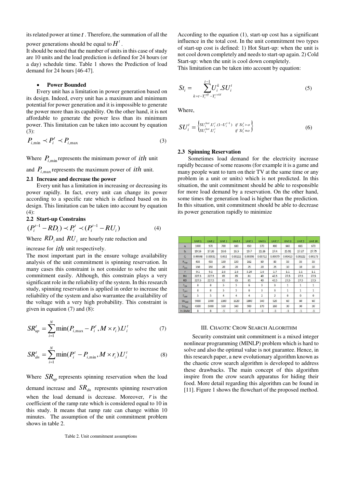its related power at time *<sup>t</sup>* . Therefore, the summation of all the

power generations should be equal to  $H<sup>t</sup>$ .

It should be noted that the number of units in this case of study are 10 units and the load prediction is defined for 24 hours (or a day) schedule time. Table 1 shows the Prediction of load demand for 24 hours [46-47].

# **Power Bounded**

Every unit has a limitation in power generation based on its design. Indeed, every unit has a maximum and minimum potential for power generation and it is impossible to generate the power more than its capability. On the other hand, it is not affordable to generate the power less than its minimum power. This limitation can be taken into account by equation (3):

$$
P_{i,\min} \prec P_i' \prec P_{i,\max} \tag{3}
$$

Where  $P_{i,\text{min}}$  represents the minimum power of *ith* unit

and  $P_{i, \text{max}}$  represents the maximum power of *ith* unit.

### **2.1 Increase and decrease the power**

Every unit has a limitation in increasing or decreasing its power rapidly. In fact, every unit can change its power according to a specific rate which is defined based on its design. This limitation can be taken into account by equation  $(4)$ :

2.2 Start-up Constraints  
\n
$$
(P_i^{t-1} - RD_i) \prec P_i^t \prec (P_i^{t-1} - RU_i)
$$
\n(4)

Where  $RD_i$  and  $RU_i$  are hourly rate reduction and

increase for *ith* unit respectively.

The most important part in the ensure voltage availability analysis of the unit commitment is spinning reservation. In many cases this constraint is not consider to solve the unit commitment easily. Although, this constrain plays a very significant role in the reliability of the system. In this research study, spinning reservation is applied in order to increase the reliability of the system and also warrantee the availability of the voltage with a very high probability. This constraint is given in equation (7) and (8):

$$
SR_{up}^{t} = \sum_{i=1}^{N} \min(P_{i,\max} - P_{i}^{t}, M \times r_{i}) U_{i}^{t}
$$
 (7)

$$
SR_{dn}^{t} = \sum_{i=1}^{N} \min(P_i^{t} - P_{i,\min}, M \times r_i) U_i^{t}
$$
 (8)

Where  $SR_{up}$  represents spinning reservation when the load demand increase and *SRdn* represents spinning reservation when the load demand is decrease. Moreover, *<sup>r</sup>* is the coefficient of the ramp rate which is considered equal to 10 in this study. It means that ramp rate can change within 10 minutes. The assumption of the unit commitment problem shows in table 2.

According to the equation (1), start-up cost has a significant influence in the total cost. In the unit commitment two types of start-up cost is defined: 1) Hot Start-up: when the unit is not cool down completely and needs to start-up again. 2) Cold Start-up: when the unit is cool down completely.

This limitation can be taken into account by equation:

$$
St_i = \sum_{k=t-T_i^{off}-T_i^{cold}}^{t-1} U_i^k . SU_i^t
$$
 (5)

Where,

$$
SU_i^t = \begin{cases} SU_i^{hot} U_i^t (1-U_i^{t-1}) & \text{if } St_i^t > o \\ SU_i^{hot} U_i^t & \text{if } St_i^t = o \end{cases}
$$
 (6)

# **2.3 Spinning Reservation**

Sometimes load demand for the electricity increase rapidly because of some reasons (for example it is a game and many people want to turn on their TV at the same time or any problem in a unit or units) which is not predicted. In this situation, the unit commitment should be able to responsible for more load demand by a reservation. On the other hand, some times the generation load is higher than the prediction. In this situation, unit commitment should be able to decrease its power generation rapidly to minimize

|                    | Unit 1                  | Unit 2  | Unit 3         | Unit 4         | Unit 5  | Unit 6         | Unit 7         | Unit 8         | Unit 9         | Unit 10        |
|--------------------|-------------------------|---------|----------------|----------------|---------|----------------|----------------|----------------|----------------|----------------|
| $a_i$              | 1000                    | 970     | 700            | 680            | 450     | 370            | 480            | 660            | 665            | 670            |
| b.                 | 19.16                   | 17.26   | 16.6           | 16.5           | 19.7    | 22.26          | 27.4           | 25.92          | 27.27          | 27.79          |
| $C_i$              | 0.00048                 | 0.00031 | 0.002          | 0.00211        | 0.00398 | 0.00712        | 0.00079        | 0.00413        | 0.00222        | 0.00173        |
| $P_{max}$          | 455                     | 455     | 130            | 130            | 162     | 80             | 85             | 55             | 55             | 55             |
| $P_{min}$          | 150                     | 150     | 20             | 20             | 25      | 20             | 25             | 10             | 10             | 10             |
| r                  | 9.1                     | 9.1     | 2.6            | 2.6            | 3.24    | 1.6            | 1.7            | 1.1            | 1.1            | 1.1            |
| <b>RU</b>          | 227.5                   | 227.5   | 65             | 65             | 81      | 40             | 42.5           | 27.5           | 27.5           | 27.5           |
| <b>RD</b>          | 227.5                   | 227.5   | 65             | 65             | 81      | 40             | 42.5           | 27.5           | 27.5           | 27.5           |
| $T_{ON}$           | 8                       | 8       | 5              | 5              | 6       | $\overline{3}$ | $\overline{3}$ | 1              | $\overline{1}$ | $\overline{1}$ |
| TOFF               | 8                       | 8       | 5              | 5              | 6       | $\overline{3}$ | $\overline{3}$ | $\overline{1}$ | $\overline{1}$ | $\overline{1}$ |
| $T_{\text{cold}}$  | 5                       | 5       | $\overline{4}$ | $\overline{4}$ | 4       | $\overline{2}$ | $\overline{2}$ | $\overline{0}$ | $\overline{0}$ | $\Omega$       |
| $SU_{\text{cold}}$ | 9000                    | 1000    | 1100           | 1120           | 1800    | 340            | 520            | 60             | 60             | 60             |
| SU <sub>hat</sub>  | 4500                    | 5000    | 550            | 560            | 900     | 170            | 260            | 30             | 30             | 30             |
| In.State           | $\overline{\mathbf{8}}$ | 8       | $-5$           | $-5$           | $-6$    | $-3$           | $-3$           | $-1$           | $-1$           | $-1$           |

### III. CHAOTIC CROW SEARCH ALGORITHM

Security constraint unit commitment is a mixed integer nonlinear programming (MINLP) problem which is hard to solve and also the optimal value is not guarantee. Hence, in this research paper, a new evolutionary algorithm known as the chaotic crow search algorithm is developed to address these drawbacks. The main concept of this algorithm inspire from the crow search apparatus for hiding their food. More detail regarding this algorithm can be found in [11]. Figure 1 shows the flowchart of the proposed method.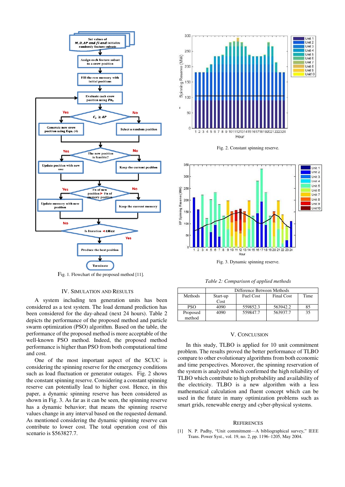

Fig. 1. Flowchart of the proposed method [11].

# IV. SIMULATION AND RESULTS

A system including ten generation units has been considered as a test system. The load demand prediction has been considered for the day-ahead (next 24 hours). Table 2 depicts the performance of the proposed method and particle swarm optimization (PSO) algorithm. Based on the table, the performance of the proposed method is more acceptable of the well-known PSO method. Indeed, the proposed method performance is higher than PSO from both computational time and cost.

One of the most important aspect of the SCUC is considering the spinning reserve for the emergency conditions such as load fluctuation or generator outages. Fig. 2 shows the constant spinning reserve. Considering a constant spinning reserve can potentially lead to higher cost. Hence, in this paper, a dynamic spinning reserve has been considered as shown in Fig. 3. As far as it can be seen, the spinning reserve has a dynamic behavior; that means the spinning reserve values change in any interval based on the requested demand. As mentioned considering the dynamic spinning reserve can contribute to lower cost. The total operation cost of this scenario is \$563827.7.







Fig. 3. Dynamic spinning reserve.

*Table 2: Comparison of applied methods* 

|                    | Difference Between Methods |                  |                   |      |  |  |  |  |
|--------------------|----------------------------|------------------|-------------------|------|--|--|--|--|
| Methods            | Start-up                   | <b>Fuel Cost</b> | <b>Final Cost</b> | Time |  |  |  |  |
|                    | Cost                       |                  |                   |      |  |  |  |  |
| <b>PSO</b>         | 4090                       | 559852.3         | 563942.2          | 85   |  |  |  |  |
| Proposed<br>method | 4090                       | 559847.7         | 563937.7          | 35   |  |  |  |  |

# V. CONCLUSION

In this study, TLBO is applied for 10 unit commitment problem. The results proved the better performance of TLBO compare to other evolutionary algorithms from both economic and time perspectives. Moreover, the spinning reservation of the system is analyzed which confirmed the high reliability of TLBO which contribute to high probability and availability of the electricity. TLBO is a new algorithm with a less mathematical calculation and fluent concept which can be used in the future in many optimization problems such as smart grids, renewable energy and cyber-physical systems.

## **REFERENCES**

[1] N. P. Padhy, "Unit commitment—A bibliographical survey," IEEE Trans. Power Syst., vol. 19, no. 2, pp. 1196–1205, May 2004.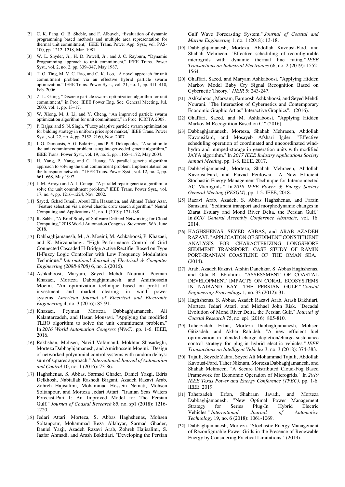- [2] C. K. Pang, G. B. Sheble, and F. Albuyeh, "Evaluation of dynamic programming based methods and multiple area representation for thermal unit commitment," IEEE Trans. Power App. Syst., vol. PAS-100, pp. 1212–1218, Mar. 1981.
- W. L. Snyder, Jr., H. D. Powell, Jr., and J. C. Rayburn, "Dynamic Programming approach to unit commitment," IEEE Trans. Power Syst., vol. 2, no. 2, pp. 339–347, May 1987.
- [4] T. O. Ting, M. V. C. Rao, and C. K. Loo, "A novel approach for unit commitment problem via an effective hybrid particle swarm optimization." IEEE Trans. Power Syst., vol. 21, no. 1, pp. 411–418, Feb. 2006.
- [5] Z. L. Gaing, "Discrete particle swarm optimization algorithm for unit commitment," in Proc. IEEE Power Eng. Soc. General Meeting, Jul. 2003, vol. 1, pp. 13–17.
- [6] W. Xiong, M. J. Li, and Y. Cheng, "An improved particle swarm optimization algorithm for unit commitment," in Proc. ICICTA 2008.
- [7] P. Bajpai and S. N. Singh, "Fuzzy adaptive particle swarm optimization for bidding strategy in uniform price spot market," IEEE Trans. Power Syst., vol. 22, no. 4, pp. 2152–2160, Nov. 2007.
- [8] I. G. Damousis, A. G. Bakirtzis, and P. S. Dokopoulos, "A solution to the unit commitment problem using integer-coded genetic algorithm," IEEE Trans. Power Syst., vol. 19, no. 2, pp. 1165–1172, May 2004.
- [9] H. Yang, P. Yang, and C. Huang, "A parallel genetic algorithm approach to solving the unit commitment problem: Implementation on the transputer networks," IEEE Trans. Power Syst., vol. 12, no. 2, pp. 661–668, May 1997.
- [10] J. M. Arrovo and A. J. Conejo, "A parallel repair genetic algorithm to solve the unit commitment problem," IEEE Trans. Power Syst., vol. 17, no. 4, pp. 1216–1224, Nov. 2002.
- [11] Sayed, Gehad Ismail, Aboul Ella Hassanien, and Ahmad Taher Azar. "Feature selection via a novel chaotic crow search algorithm." Neural Computing and Applications 31, no. 1 (2019): 171-188.
- [12] R. Sahba, "A Brief Study of Software Defined Networking for Cloud Computing," 2018 World Automation Congress, Stevenson, WA, June 2018.
- [13] Dabbaghjamanesh, M., A. Moeini, M. Ashkaboosi, P. Khazaei, and K. Mirzapalangi. "High Performance Control of Grid Connected Cascaded H-Bridge Active Rectifier Based on Type II-Fuzzy Logic Controller with Low Frequency Modulation Technique." *International Journal of Electrical & Computer Engineering (2088-8708)* 6, no. 2 (2016).
- [14] Ashkaboosi, Maryam, Seyed Mehdi Nourani, Peyman Khazaei, Morteza Dabbaghjamanesh, and Amirhossein Moeini. "An optimization technique based on profit of investment and market clearing in wind power systems." *American Journal of Electrical and Electronic Engineering* 4, no. 3 (2016): 85-91.
- [15] Khazaei, Peyman, Morteza Dabbaghjamanesh, Ali Kalantarzadeh, and Hasan Mousavi. "Applying the modified TLBO algorithm to solve the unit commitment problem." In *2016 World Automation Congress (WAC)*, pp. 1-6. IEEE, 2016.
- [16] Rakhshan, Mohsen, Navid Vafamand, Mokhtar Shasadeghi, Morteza Dabbaghjamanesh, and Amirhossein Moeini. "Design of networked polynomial control systems with random delays: sum of squares approach." *International Journal of Automation and Control* 10, no. 1 (2016): 73-86.
- [17] Haghshenas, S. Abbas, Sarmad Ghader, Daniel Yazgi, Edris Delkhosh, Nabiallah Rashedi Birgani, Azadeh Razavi Arab, Zohreh Hajisalimi, Mohammad Hossein Nemati, Mohsen Soltanpour, and Morteza Jedari Attari. "Iranian Seas Waters Forecast-Part I: An Improved Model for The Persian Gulf." *Journal of Coastal Research* 85, no. sp1 (2018): 1216- 1220.
- [18] Jedari Attari, Morteza, S. Abbas Haghshenas, Mohsen Soltanpour, Mohammad Reza Allahyar, Sarmad Ghader, Daniel Yazji, Azadeh Razavi Arab, Zohreh Hajisalimi, S. Jaafar Ahmadi, and Arash Bakhtiari. "Developing the Persian

Gulf Wave Forecasting System." *Journal of Coastal and Marine Engineering* 1, no. 1 (2018): 13-18.

- [19] Dabbaghjamanesh, Morteza, Abdollah Kavousi-Fard, and Shahab Mehraeen. "Effective scheduling of reconfigurable microgrids with dynamic thermal line rating." *IEEE Transactions on Industrial Electronics* 66, no. 2 (2019): 1552- 1564.
- [20] Ghaffari, Saeed, and Maryam Ashkaboosi. "Applying Hidden Markov Model Baby Cry Signal Recognition Based on Cybernetic Theory." *IJEIR* 5: 243-247.
- [21] Ashkaboosi, Maryam, Farnoosh Ashkaboosi, and Seyed Mehdi Nourani. "The Interaction of Cybernetics and Contemporary Economic Graphic Art as" Interactive Graphics"." (2016).
- [22] Ghaffari, Saeed, and M. Ashkaboosi. "Applying Hidden Markov M Recognition Based on C." (2016).
- [23] Dabbaghjamanesh, Morteza, Shahab Mehraeen, Abdollah Kavousifard, and Mosayeb Afshari Igder. "Effective scheduling operation of coordinated and uncoordinated windhydro and pumped-storage in generation units with modified JAYA algorithm." In *2017 IEEE Industry Applications Society Annual Meeting*, pp. 1-8. IEEE, 2017.
- [24] Dabbaghjamanesh, Morteza, Shahab Mehraeen, Abdollah Kavousi-Fard, and Farzad Ferdowsi. "A New Efficient Stochastic Energy Management Technique for Interconnected AC Microgrids." In *2018 IEEE Power & Energy Society General Meeting (PESGM)*, pp. 1-5. IEEE, 2018.
- [25] Razavi Arab, Azadeh, S. Abbas Haghshenas, and Farzin Samsami. "Sediment transport and morphodynamic changes in Ziarat Estuary and Mond River Delta, the Persian Gulf." In *EGU General Assembly Conference Abstracts*, vol. 16. 2014.
- [26] HAGHSHENAS, SEYED ABBAS, and ARAB AZADEH RAZAVI. "APPLICATION OF SEDIMENT CONSTITUENT ANALYSIS FOR CHARACTERIZING LONGSHORE SEDIMENT TRANSPORT, CASE STUDY OF RAMIN PORT-IRANIAN COASTLINE OF THE OMAN SEA." (2014).
- [27] Arab, Azadeh Razavi, Afshin Danehkar, S. Abbas Haghshenas, and Gita B. Ebrahimi. "ASSESSMENT OF COASTAL DEVELOPMENT IMPACTS ON CORAL ECOSYSTEMS IN NAIBAND BAY, THE PERSIAN GULF." *Coastal Engineering Proceedings* 1, no. 33 (2012): 31.
- [28] Haghshenas, S. Abbas, Azadeh Razavi Arab, Arash Bakhtiari, Morteza Jedari Attari, and Michael John Risk. "Decadal Evolution of Mond River Delta, the Persian Gulf." *Journal of Coastal Research* 75, no. sp1 (2016): 805-810.
- [29] Taherzadeh, Erfan, Morteza Dabbaghjamanesh, Mohsen Gitizadeh, and Akbar Rahideh. "A new efficient fuel optimization in blended charge depletion/charge sustenance control strategy for plug-in hybrid electric vehicles." *IEEE Transactions on Intelligent Vehicles* 3, no. 3 (2018): 374-383.
- [30] Tajalli, Seyede Zahra, Seyed Ali Mohammad Tajalli, Abdollah Kavousi-Fard, Taher Niknam, Morteza Dabbaghjamanesh, and Shahab Mehraeen. "A Secure Distributed Cloud-Fog Based Framework for Economic Operation of Microgrids." In *2019 IEEE Texas Power and Energy Conference (TPEC)*, pp. 1-6. IEEE, 2019.
- [31] Taherzadeh, Erfan, Shahram Javadi, and Morteza Dabbaghjamanesh. "New Optimal Power Management Strategy for Series Plug-In Hybrid Electric Vehicles." *International Journal of Automotive Technology* 19, no. 6 (2018): 1061-1069.
- [32] Dabbaghjamanesh, Morteza. "Stochastic Energy Management of Reconfigurable Power Grids in the Presence of Renewable Energy by Considering Practical Limitations." (2019).